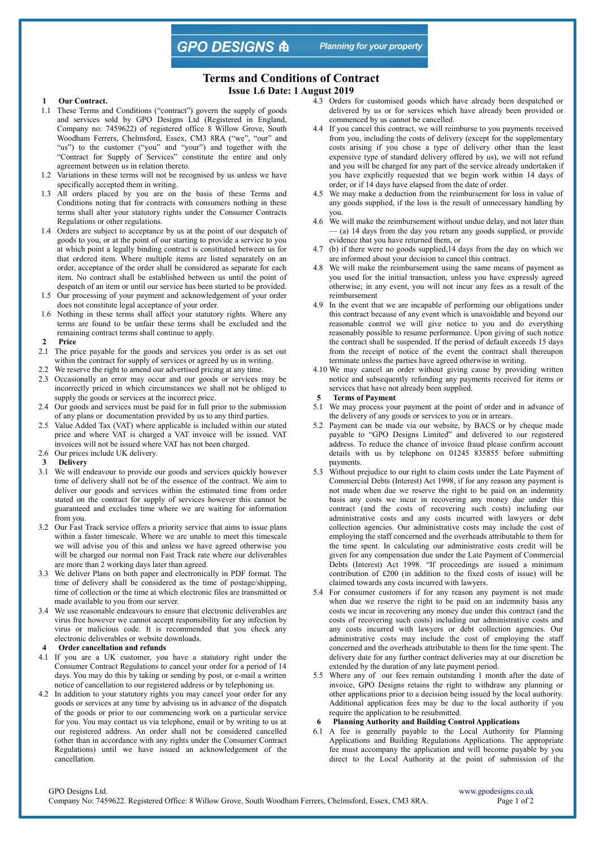**GPO DESIGNS A** 

**Planning for your property** 

# **Terms and Conditions of Contract**

**Issue 1.6 Date: 1 August 2019**

#### **Our Contract.**

- 1.1 These Terms and Conditions ("contract") govern the supply of goods and services sold by GPO Designs Ltd (Registered in England, Company no: 7459622) of registered office 8 Willow Grove, South Woodham Ferrers, Chelmsford, Essex, CM3 8RA ("we", "our" and "us") to the customer ("you" and "your") and together with the "Contract for Supply of Services" constitute the entire and only agreement between us in relation thereto.
- 1.2 Variations in these terms will not be recognised by us unless we have specifically accepted them in writing.
- 1.3 All orders placed by you are on the basis of these Terms and Conditions noting that for contracts with consumers nothing in these terms shall alter your statutory rights under the Consumer Contracts Regulations or other regulations.
- 1.4 Orders are subject to acceptance by us at the point of our despatch of goods to you, or at the point of our starting to provide a service to you at which point a legally binding contract is constituted between us for that ordered item. Where multiple items are listed separately on an order, acceptance of the order shall be considered as separate for each item. No contract shall be established between us until the point of despatch of an item or until our service has been started to be provided.
- 1.5 Our processing of your payment and acknowledgement of your order does not constitute legal acceptance of your order.
- 1.6 Nothing in these terms shall affect your statutory rights. Where any terms are found to be unfair these terms shall be excluded and the remaining contract terms shall continue to apply.
- **2 Price**
- 2.1 The price payable for the goods and services you order is as set out
- within the contract for supply of services or agreed by us in writing. 2.2 We reserve the right to amend our advertised pricing at any time.
- 2.3 Occasionally an error may occur and our goods or services may be incorrectly priced in which circumstances we shall not be obliged to supply the goods or services at the incorrect price.
- 2.4 Our goods and services must be paid for in full prior to the submission of any plans or documentation provided by us to any third parties.
- 2.5 Value Added Tax (VAT) where applicable is included within our stated price and where VAT is charged a VAT invoice will be issued. VAT invoices will not be issued where VAT has not been charged.
- 2.6 Our prices include UK delivery.
- **3 Delivery**
- 3.1 We will endeavour to provide our goods and services quickly however time of delivery shall not be of the essence of the contract. We aim to deliver our goods and services within the estimated time from order stated on the contract for supply of services however this cannot be guaranteed and excludes time where we are waiting for information from you.
- 3.2 Our Fast Track service offers a priority service that aims to issue plans within a faster timescale. Where we are unable to meet this timescale we will advise you of this and unless we have agreed otherwise you will be charged our normal non Fast Track rate where our deliverables are more than 2 working days later than agreed.
- 3.3 We deliver Plans on both paper and electronically in PDF format. The time of delivery shall be considered as the time of postage/shipping, time of collection or the time at which electronic files are transmitted or made available to you from our server.
- 3.4 We use reasonable endeavours to ensure that electronic deliverables are virus free however we cannot accept responsibility for any infection by virus or malicious code. It is recommended that you check any electronic deliverables or website downloads.
- **4 Order cancellation and refunds**
- 4.1 If you are a UK customer, you have a statutory right under the Consumer Contract Regulations to cancel your order for a period of 14 days. You may do this by taking or sending by post, or e-mail a written notice of cancellation to our registered address or by telephoning us.
- 4.2 In addition to your statutory rights you may cancel your order for any goods or services at any time by advising us in advance of the dispatch of the goods or prior to our commencing work on a particular service for you. You may contact us via telephone, email or by writing to us at our registered address. An order shall not be considered cancelled (other than in accordance with any rights under the Consumer Contract Regulations) until we have issued an acknowledgement of the cancellation.
- 4.3 Orders for customised goods which have already been despatched or delivered by us or for services which have already been provided or commenced by us cannot be cancelled.
- 4.4 If you cancel this contract, we will reimburse to you payments received from you, including the costs of delivery (except for the supplementary costs arising if you chose a type of delivery other than the least expensive type of standard delivery offered by us), we will not refund and you will be charged for any part of the service already undertaken if you have explicitly requested that we begin work within 14 days of order, or if 14 days have elapsed from the date of order.
- 4.5 We may make a deduction from the reimbursement for loss in value of any goods supplied, if the loss is the result of unnecessary handling by you.
- 4.6 We will make the reimbursement without undue delay, and not later than — (a) 14 days from the day you return any goods supplied, or provide evidence that you have returned them, or
- 4.7 (b) if there were no goods supplied,14 days from the day on which we are informed about your decision to cancel this contract.
- 4.8 We will make the reimbursement using the same means of payment as you used for the initial transaction, unless you have expressly agreed otherwise; in any event, you will not incur any fees as a result of the reimbursement
- 4.9 In the event that we are incapable of performing our obligations under this contract because of any event which is unavoidable and beyond our reasonable control we will give notice to you and do everything reasonably possible to resume performance. Upon giving of such notice the contract shall be suspended. If the period of default exceeds 15 days from the receipt of notice of the event the contract shall thereupon terminate unless the parties have agreed otherwise in writing.
- 4.10 We may cancel an order without giving cause by providing written notice and subsequently refunding any payments received for items or services that have not already been supplied.
- **Terms of Payment**
- 5.1 We may process your payment at the point of order and in advance of the delivery of any goods or services to you or in arrears.
- 5.2 Payment can be made via our website, by BACS or by cheque made payable to "GPO Designs Limited" and delivered to our registered address. To reduce the chance of invoice fraud please confirm account details with us by telephone on 01245 835855 before submitting payments.
- 5.3 Without prejudice to our right to claim costs under the Late Payment of Commercial Debts (Interest) Act 1998, if for any reason any payment is not made when due we reserve the right to be paid on an indemnity basis any costs we incur in recovering any money due under this contract (and the costs of recovering such costs) including our administrative costs and any costs incurred with lawyers or debt collection agencies. Our administrative costs may include the cost of employing the staff concerned and the overheads attributable to them for the time spent. In calculating our administrative costs credit will be given for any compensation due under the Late Payment of Commercial Debts (Interest) Act 1998. "If proceedings are issued a minimum contribution of £200 (in addition to the fixed costs of issue) will be claimed towards any costs incurred with lawyers.
- 5.4 For consumer customers if for any reason any payment is not made when due we reserve the right to be paid on an indemnity basis any costs we incur in recovering any money due under this contract (and the costs of recovering such costs) including our administrative costs and any costs incurred with lawyers or debt collection agencies. Our administrative costs may include the cost of employing the staff concerned and the overheads attributable to them for the time spent. The delivery date for any further contract deliveries may at our discretion be extended by the duration of any late payment period.
- 5.5 Where any of our fees remain outstanding 1 month after the date of invoice, GPO Designs retains the right to withdraw any planning or other applications prior to a decision being issued by the local authority. Additional application fees may be due to the local authority if you require the application to be resubmitted.
- **6 Planning Authority and Building Control Applications**
- 6.1 A fee is generally payable to the Local Authority for Planning Applications and Building Regulations Applications. The appropriate fee must accompany the application and will become payable by you direct to the Local Authority at the point of submission of the